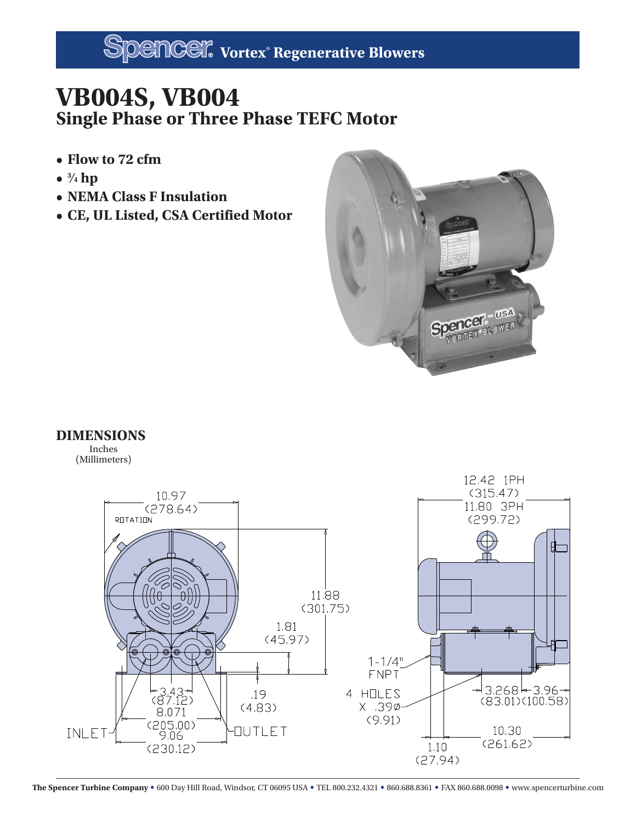## **VB004S, VB004 Single Phase or Three Phase TEFC Motor**

- **Flow to 72 cfm**
- **• <sup>3</sup> ⁄4 hp**
- **NEMA Class F Insulation**
- **CE, UL Listed, CSA Certified Motor**